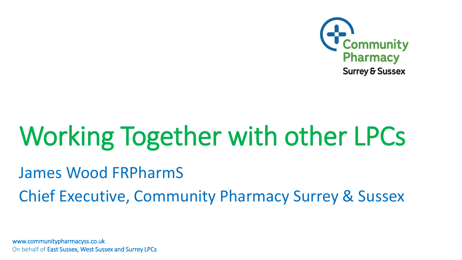

# Working Together with other LPCs

### James Wood FRPharmS

Chief Executive, Community Pharmacy Surrey & Sussex

www.communitypharmacyss.co.uk On behalf of East Sussex, West Sussex and Surrey LPCs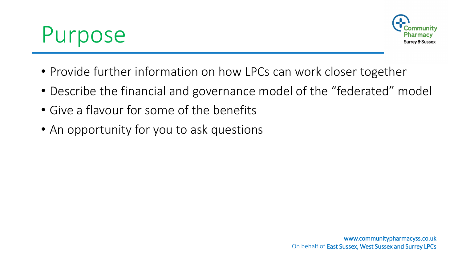



- Provide further information on how LPCs can work closer together
- Describe the financial and governance model of the "federated" model
- Give a flavour for some of the benefits
- An opportunity for you to ask questions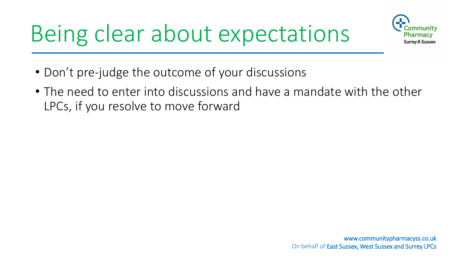## Being clear about expectations



- Don't pre-judge the outcome of your discussions
- The need to enter into discussions and have a mandate with the other LPCs, if you resolve to move forward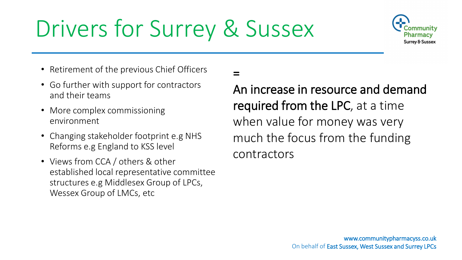## Drivers for Surrey & Sussex

=



- Retirement of the previous Chief Officers
- Go further with support for contractors and their teams
- More complex commissioning environment
- Changing stakeholder footprint e.g NHS Reforms e.g England to KSS level
- Views from CCA / others & other established local representative committee structures e.g Middlesex Group of LPCs, Wessex Group of LMCs, etc

An increase in resource and demand required from the LPC, at a time when value for money was very much the focus from the funding contractors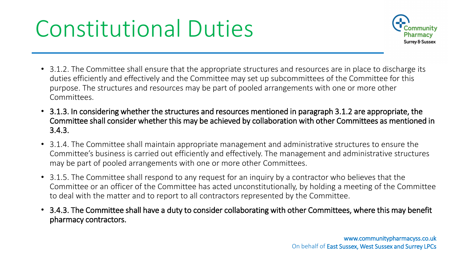### Constitutional Duties



- 3.1.2. The Committee shall ensure that the appropriate structures and resources are in place to discharge its duties efficiently and effectively and the Committee may set up subcommittees of the Committee for this purpose. The structures and resources may be part of pooled arrangements with one or more other Committees.
- 3.1.3. In considering whether the structures and resources mentioned in paragraph 3.1.2 are appropriate, the Committee shall consider whether this may be achieved by collaboration with other Committees as mentioned in 3.4.3.
- 3.1.4. The Committee shall maintain appropriate management and administrative structures to ensure the Committee's business is carried out efficiently and effectively. The management and administrative structures may be part of pooled arrangements with one or more other Committees.
- 3.1.5. The Committee shall respond to any request for an inquiry by a contractor who believes that the Committee or an officer of the Committee has acted unconstitutionally, by holding a meeting of the Committee to deal with the matter and to report to all contractors represented by the Committee.
- 3.4.3. The Committee shall have a duty to consider collaborating with other Committees, where this may benefit pharmacy contractors.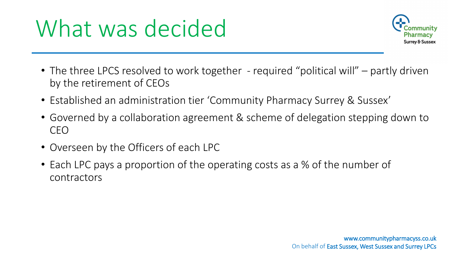### What was decided



- The three LPCS resolved to work together required "political will" partly driven by the retirement of CEOs
- Established an administration tier 'Community Pharmacy Surrey & Sussex'
- Governed by a collaboration agreement & scheme of delegation stepping down to CEO
- Overseen by the Officers of each LPC
- Each LPC pays a proportion of the operating costs as a % of the number of contractors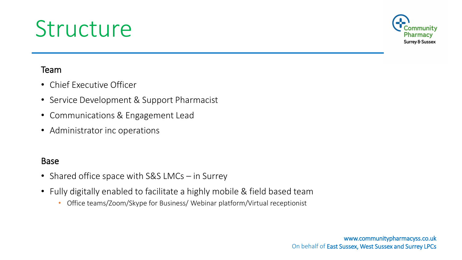### Structure



### Team

- Chief Executive Officer
- Service Development & Support Pharmacist
- Communications & Engagement Lead
- Administrator inc operations

### Base

- Shared office space with S&S LMCs in Surrey
- Fully digitally enabled to facilitate a highly mobile & field based team
	- Office teams/Zoom/Skype for Business/ Webinar platform/Virtual receptionist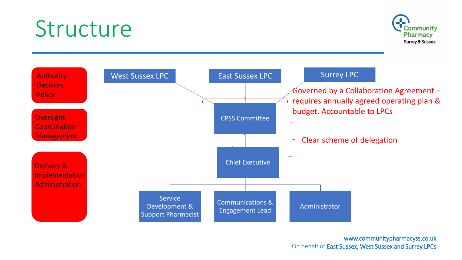### Structure





### www.communitypharmacyss.co.uk On behalf of East Sussex, West Sussex and Surrey LPCs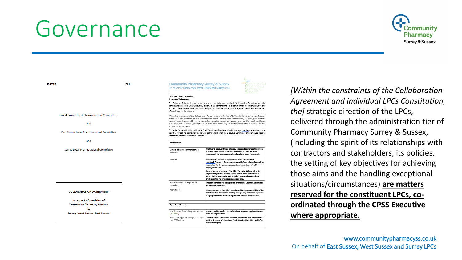### Governance



**DATED** 201 **CPSS Executive Committe Scherne of Delegation** of the CPSS administration tie West Sussex Local Pharmaceutical Committee and and the constituent LPCs. **East Sussex Local Pharmaceutical Committee** update the framework from time to time. and **Surrey Local Pharmaceutical Committee COLLABORATION AGREEMENT** In respect of provision of **Community Pharmacy Services Surrey, West Sussex, East Sussex** 

#### **Community Pharmacy Surrey & Sussex** On behalf of East Sussex, West Sussex and Surrey LPCs

This Scheme of Delegation sets down the authority delegated by the CPSS Executive Committee and the constituent LPCs to its Chief Executive/ others. It supplements the job description for the Chief Executive and addresses several areas more specific to delegation to facilitate fully accountable, effective and efficient delivery

Within the constraints of the Collaboration Agreement and individual LPCs Constitution, the strategic direction of the LPCs, delivered through the administration tier of Community Pharmacy Surrey & Sussex, (including the spirit of its relationships with contractors and stakeholders, its policies, the setting of key objectives for achieving those aims and the handling exceptional situations/circumstances) are matters reserved to the CPSS Executive

This is the framework within which the Chief Executive Officer is required to manage the day-to-day operational activities for optimal performance, drawing to the attention of the Executive Committee any perceived need to

| Management                                                  |                                                                                                                                                                                                                                                            |  |
|-------------------------------------------------------------|------------------------------------------------------------------------------------------------------------------------------------------------------------------------------------------------------------------------------------------------------------|--|
| General delegation of management<br>decisions               | The Chief Executive Officer is hereby delegated to manage the proper<br>use of the operational, budgetary, property, staffing and other<br>resources of the organisation within the above policy framework.                                                |  |
| Staff/HR                                                    | Subject to the policies and procedures detailed in the Staff<br>Handbook /contract of employment the Chief Executive Officer will be<br>responsible for the guidance, support and supervision of staff<br>employed by CPSS.                                |  |
|                                                             | Support and development of the Chief Executive Officer will be the<br>responsibility of the CPSS Executive Committee HR/Performance<br>Group, led by Sarah Davis, This includes the annual review of the<br>Chief Executive reporting back as appropriate. |  |
| Staff Handbook and Employment<br>Procedures                 | The Staff Handbook to be approved by the CPSS Executive Committee<br>and reviewed annually                                                                                                                                                                 |  |
| Recruitment                                                 | The recruitment of the Chief Executive will be the responsibility of the<br>CPSS Executive Committee. Staffing changes only within the approved<br>budget plan may be made during the year by the Chief Executive.                                         |  |
| <b>Operational Procedures</b>                               |                                                                                                                                                                                                                                                            |  |
| Specific operational rules governing the<br>nurchasing ?    | Where possible, obtain 3 guotations from separate suppliers who can<br>meet the requirements.                                                                                                                                                              |  |
| Authority to approve and sign contracts<br>that CPSS enters | CPSS Executive Committee - devolved to the Chief Executive Officer<br>and the signature of at least one Chair from the three LPCs, or his/her<br>nominated deputy.                                                                                         |  |

*[Within the constraints of the Collaboration Agreement and individual LPCs Constitution, the]* strategic direction of the LPCs, delivered through the administration tier of Community Pharmacy Surrey & Sussex, (including the spirit of its relationships with contractors and stakeholders, its policies, the setting of key objectives for achieving those aims and the handling exceptional situations/circumstances) **are matters reserved for the constituent LPCs, coordinated through the CPSS Executive where appropriate.**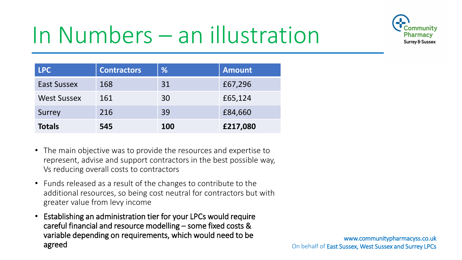

## In Numbers – an illustration

| <b>LPC</b>         | <b>Contractors</b> | %   | <b>Amount</b> |
|--------------------|--------------------|-----|---------------|
| <b>East Sussex</b> | 168                | 31  | £67,296       |
| <b>West Sussex</b> | 161                | 30  | £65,124       |
| Surrey             | 216                | 39  | £84,660       |
| <b>Totals</b>      | 545                | 100 | £217,080      |

- The main objective was to provide the resources and expertise to represent, advise and support contractors in the best possible way, Vs reducing overall costs to contractors
- Funds released as a result of the changes to contribute to the additional resources, so being cost neutral for contractors but with greater value from levy income
- Establishing an administration tier for your LPCs would require careful financial and resource modelling – some fixed costs & variable depending on requirements, which would need to be agreed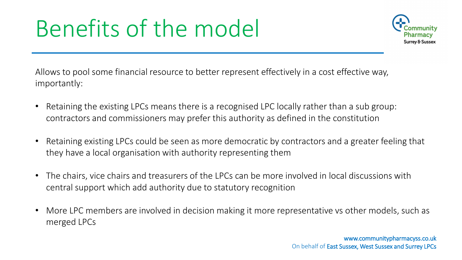### Benefits of the model



Allows to pool some financial resource to better represent effectively in a cost effective way, importantly:

- Retaining the existing LPCs means there is a recognised LPC locally rather than a sub group: contractors and commissioners may prefer this authority as defined in the constitution
- Retaining existing LPCs could be seen as more democratic by contractors and a greater feeling that they have a local organisation with authority representing them
- The chairs, vice chairs and treasurers of the LPCs can be more involved in local discussions with central support which add authority due to statutory recognition
- More LPC members are involved in decision making it more representative vs other models, such as merged LPCs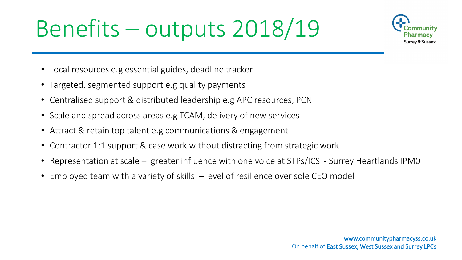## Benefits – outputs 2018/19



- Local resources e.g essential guides, deadline tracker
- Targeted, segmented support e.g quality payments
- Centralised support & distributed leadership e.g APC resources, PCN
- Scale and spread across areas e.g TCAM, delivery of new services
- Attract & retain top talent e.g communications & engagement
- Contractor 1:1 support & case work without distracting from strategic work
- Representation at scale greater influence with one voice at STPs/ICS Surrey Heartlands IPMO
- Employed team with a variety of skills level of resilience over sole CEO model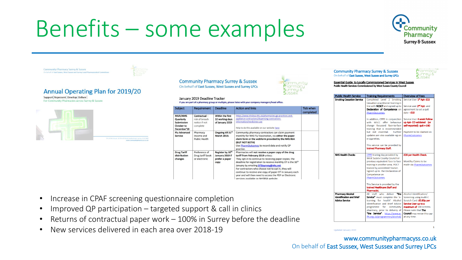### Benefits – some examples



**Annual Operating Plan for 2019/20** Support Represent Develop Deliver For Community Pharmacies across Surrey & Sussex

**Community Pharmacy Surrey & Sussex** 

On behalf of East Sussex, West Sussex and Surrey Local I



Deadline

Within the first

10 working days

of January 2019

Ongoing till 31<sup>st</sup>

**March 2019.** 

Register by 10<sup>th</sup>

January 2019 if

prefer a paper

copy

If you are part of a pharmacy group or multiple, please liaise with your company managers/head office

**Action and links** 

(BUT NOT BOTH)

practice.

nformation/medicines-use

https://www.nhsbsa.nhs.uk/pharmacies-gp-practices-and-

Community pharmacy contractors can claim payment

monthly for NHS Flu Vaccination, via either the paper

claim form or the webform provided by the NHS BSA

Use PharmOutcomes to record data and notify GP

Pharmacies will not receive a paper copy of the drug

They opt-in to continue to receiving paper copies; the deadline for registration to receive monthly DT is the 10<sup>th</sup>

appliance-contractors/dispensing-contractors-

Help to do this available on our website here

tariff from February 2019 unless:

January by emailing **DTBsurvey@nhs.net** For contractors who choose not to opt in, they will continue to receive one copy of paper DT in January each year and will then need to access the PDF or Electronic

versions available on NHSBSA website

January 2019 Deadline Tracker

Requirement

Contractual

notice if not

complete

Pharmacy

Income and

**Public Health** 

Preference of

or electronic

Drug tariff book

risk of breach

Subject

**MUR/NMS** 

**Submission** 

October to

**Drug Tariff** 

distribution

changes

**Service** 

December'18 **Flu Advanced** 

Quarterly



**Tick when** 

completed

#### **Community Pharmacy Surrey & Sussex** On behalf of East Sussex, West Sussex and Surrey LPCs

Essential Guide to Locally Commissioned Services in West Sussex Public Health Services Commissioned by West Sussex County Council

| r upnu Health Jel Vice                                                       | <b>Halling Requirements</b>                                                                                                                                                                                                                                                                                                                                                                                                                       | <b>OVERVIEW OF LEES</b>                                                                                                                                                                                                                                                |
|------------------------------------------------------------------------------|---------------------------------------------------------------------------------------------------------------------------------------------------------------------------------------------------------------------------------------------------------------------------------------------------------------------------------------------------------------------------------------------------------------------------------------------------|------------------------------------------------------------------------------------------------------------------------------------------------------------------------------------------------------------------------------------------------------------------------|
| <b>Smoking Cessation Service</b>                                             | Completed Level 2 Smoking<br>Cessation practitioner training in<br>line with <b>NCSCT</b> and signed up to<br>Declaration of Competence on<br>PharmOutcomes.<br>In addition, CPPE in conjunction<br>with WSCC offer behaviour<br>change focussed face-to-face<br>training that is recommended<br>but not essential.<br>Further<br>updates are also available eg on<br>e-cigarettes.<br>This service can be provided by<br>trained Pharmacy Staff. | Service User 1 <sup>st</sup> Apt- £15<br>Service user 2 <sup>nd</sup> Apt- and<br>agreement to set a quit<br>$date - f10$<br>Service User 4 week Follow<br>up Apt-CO validated (or<br>self-reported) $q$ uit = £40<br>Payment to be claimed on<br><b>PharmOutcomes</b> |
| <b>NHS Health Checks</b>                                                     | CPPE traning day provided by<br>West Sussex County Council or<br>previous equivalent face to face<br>training in another area. POCT<br>trained by accredited Trainer.<br>Signed up to the Declaration of<br>Competence on<br>PharmOutcomes.<br>This Service is provided by the<br>trained Healthcare Staff and<br>Pharmacist.                                                                                                                     | £28 per Health Check.<br>Montlhy Claims to be<br>made via PharmOutcomes                                                                                                                                                                                                |
| <b>Pharmacy Alcohol</b><br>Identification and Brief<br><b>Advice Service</b> | All staff who deliver "the<br>Service" must complete the 'e-<br>learning for health' Alcohol<br><b>Identification and Brief Advice</b><br>programme for community<br>pharmacy, prior to delivery of<br>"the Service": https://www.e-<br>lfh.org.uk/programmes/alcohol/                                                                                                                                                                            | Alcohol Identification/<br>Screening using Audit C<br>Scratch Card: £0.80p per<br>Service User up to a<br>maximum of 100 screens.<br>Please note that The<br><b>Council</b> may revise this cap<br>at any time.                                                        |

- Increase in CPAF screening questionnaire completion
- Improved QP participation targeted support & call in clinics
- Returns of contractual paper work  $-100\%$  in Surrey before the deadline
- New services delivered in each area over 2018-19

www.communitypharmacyss.co.uk On behalf of East Sussex, West Sussex and Surrey LPCs

Updated January 2019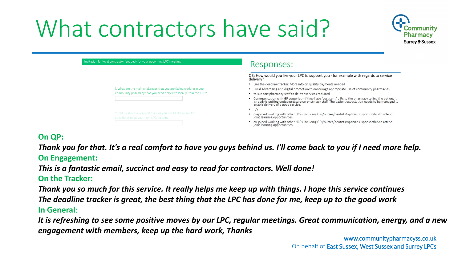### What contractors have said?



| Invitation for local contractor feedback for your upcoming LPC meeting                                    | Responses:                                                                                                                                                                                                                                             |
|-----------------------------------------------------------------------------------------------------------|--------------------------------------------------------------------------------------------------------------------------------------------------------------------------------------------------------------------------------------------------------|
|                                                                                                           | Q3: How would you like your LPC to support you - for example with regards to service<br>delivery?                                                                                                                                                      |
|                                                                                                           | • Like the deadline tracker. More info on quality payments needed                                                                                                                                                                                      |
| 1. What are the main challenges that you are facing working in your                                       | • Local advertising and digital promotion to encourage appropriate use of community pharmacies                                                                                                                                                         |
| community pharmacy that you need help with locally from the LPC?                                          | • to support pharmacy staff to deliver services required                                                                                                                                                                                               |
|                                                                                                           | • Communication with GP surgeries - If they have "Just sent" a Rx to the pharmacy telling the patient it<br>is ready is putting undue pressure on pharmacy staff. The patient expectation needs to be managed to<br>enable delivery of a good service. |
|                                                                                                           | $\cdot$ n/a                                                                                                                                                                                                                                            |
| 2. Tell us about any specific issues you would like raised for<br>consideration at your next LPC meeting. | co-joined working with other HCPs including GPs/nurses/dentists/opticians. sponsorship to attend<br>joint learning opportunities.                                                                                                                      |
|                                                                                                           | co-joined working with other HCPs including GPs/nurses/dentists/opticians. sponsorship to attend<br>joint learning opportunities.                                                                                                                      |

### **On QP:**

*Thank you for that. It's a real comfort to have you guys behind us. I'll come back to you if I need more help.* **On Engagement:** 

*This is a fantastic email, succinct and easy to read for contractors. Well done!*

**On the Tracker:**

*Thank you so much for this service. It really helps me keep up with things. I hope this service continues The deadline tracker is great, the best thing that the LPC has done for me, keep up to the good work* **In General**:

*It is refreshing to see some positive moves by our LPC, regular meetings. Great communication, energy, and a new engagement with members, keep up the hard work, Thanks*

www.communitypharmacyss.co.uk On behalf of East Sussex, West Sussex and Surrey LPCs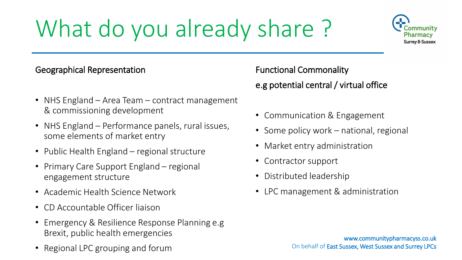## What do you already share ?



### Geographical Representation

- NHS England Area Team contract management & commissioning development
- NHS England Performance panels, rural issues, some elements of market entry
- Public Health England regional structure
- Primary Care Support England regional engagement structure
- Academic Health Science Network
- CD Accountable Officer liaison
- Emergency & Resilience Response Planning e.g Brexit, public health emergencies
- Regional LPC grouping and forum

Functional Commonality e.g potential central / virtual office

- Communication & Engagement
- Some policy work national, regional
- Market entry administration
- Contractor support
- Distributed leadership
- LPC management & administration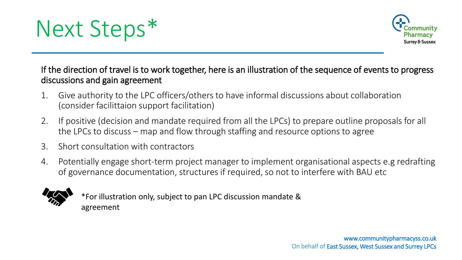



If the direction of travel is to work together, here is an illustration of the sequence of events to progress discussions and gain agreement

- 1. Give authority to the LPC officers/others to have informal discussions about collaboration (consider facilittaion support facilitation)
- 2. If positive (decision and mandate required from all the LPCs) to prepare outline proposals for all the LPCs to discuss – map and flow through staffing and resource options to agree
- 3. Short consultation with contractors
- 4. Potentially engage short-term project manager to implement organisational aspects e.g redrafting of governance documentation, structures if required, so not to interfere with BAU etc



\*For illustration only, subject to pan LPC discussion mandate & agreement